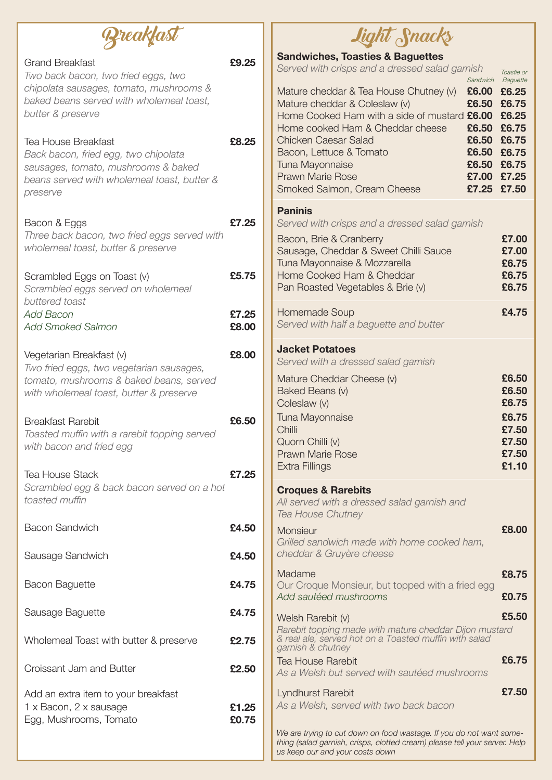|                                                                                                                                                                           |                | Light Snacks                                                                                                                                                                                                                                                 |                                           |
|---------------------------------------------------------------------------------------------------------------------------------------------------------------------------|----------------|--------------------------------------------------------------------------------------------------------------------------------------------------------------------------------------------------------------------------------------------------------------|-------------------------------------------|
| <b>Grand Breakfast</b><br>Two back bacon, two fried eggs, two<br>chipolata sausages, tomato, mushrooms &<br>baked beans served with wholemeal toast,<br>butter & preserve | £9.25          | <b>Sandwiches, Toasties &amp; Baguettes</b><br>Served with crisps and a dressed salad garnish<br>Sandwich<br>£6.00 £6.25<br>Mature cheddar & Tea House Chutney (v)<br>Mature cheddar & Coleslaw (v)<br>£6.50<br>Home Cooked Ham with a side of mustard £6.00 | Toastie or<br>Baguette<br>£6.75<br>£6.25  |
| <b>Tea House Breakfast</b><br>Back bacon, fried egg, two chipolata<br>sausages, tomato, mushrooms & baked<br>beans served with wholemeal toast, butter &<br>preserve      | £8,25          | Home cooked Ham & Cheddar cheese<br>£6.50<br><b>Chicken Caesar Salad</b><br>£6.50<br>Bacon, Lettuce & Tomato<br>£6.50<br>Tuna Mayonnaise<br>£6.50 £6.75<br><b>Prawn Marie Rose</b><br>£7.00<br>Smoked Salmon, Cream Cheese<br>£7.25 £7.50                    | £6.75<br>£6.75<br>£6.75<br>£7.25          |
| Bacon & Eggs<br>Three back bacon, two fried eggs served with<br>wholemeal toast, butter & preserve                                                                        | £7.25          | <b>Paninis</b><br>Served with crisps and a dressed salad garnish<br>Bacon, Brie & Cranberry<br>Sausage, Cheddar & Sweet Chilli Sauce<br>Tuna Mayonnaise & Mozzarella                                                                                         | £7.00<br>£7.00<br>£6.75                   |
| Scrambled Eggs on Toast (v)<br>Scrambled eggs served on wholemeal<br>buttered toast                                                                                       | £5.75          | Home Cooked Ham & Cheddar<br>Pan Roasted Vegetables & Brie (v)                                                                                                                                                                                               | £6.75<br>£6.75                            |
| <b>Add Bacon</b><br><b>Add Smoked Salmon</b>                                                                                                                              | £7.25<br>£8.00 | Homemade Soup<br>Served with half a baguette and butter                                                                                                                                                                                                      | £4.75                                     |
| Vegetarian Breakfast (v)<br>Two fried eggs, two vegetarian sausages,<br>tomato, mushrooms & baked beans, served<br>with wholemeal toast, butter & preserve                | £8.00          | <b>Jacket Potatoes</b><br>Served with a dressed salad garnish<br>Mature Cheddar Cheese (v)<br>Baked Beans (v)<br>Coleslaw (v)                                                                                                                                | £6.50<br>£6.50<br>£6.75                   |
| <b>Breakfast Rarebit</b><br>Toasted muffin with a rarebit topping served<br>with bacon and fried egg                                                                      | £6.50          | Tuna Mayonnaise<br><b>Chilli</b><br>Quorn Chilli (v)<br><b>Prawn Marie Rose</b><br>Extra Fillings                                                                                                                                                            | £6.75<br>£7.50<br>£7.50<br>£7.50<br>£1.10 |
| <b>Tea House Stack</b><br>Scrambled egg & back bacon served on a hot<br>toasted muffin                                                                                    | £7.25          | <b>Croques &amp; Rarebits</b><br>All served with a dressed salad garnish and<br><b>Tea House Chutney</b>                                                                                                                                                     |                                           |
| <b>Bacon Sandwich</b>                                                                                                                                                     | £4.50          | <b>Monsieur</b><br>Grilled sandwich made with home cooked ham,                                                                                                                                                                                               | £8.00                                     |
| Sausage Sandwich                                                                                                                                                          | £4.50          | cheddar & Gruyère cheese<br>Madame                                                                                                                                                                                                                           | £8.75                                     |
| <b>Bacon Baguette</b>                                                                                                                                                     | £4.75          | Our Croque Monsieur, but topped with a fried egg<br>Add sautéed mushrooms                                                                                                                                                                                    | £0.75                                     |
| Sausage Baguette                                                                                                                                                          | £4.75          | Welsh Rarebit (v)                                                                                                                                                                                                                                            | £5.50                                     |
| Wholemeal Toast with butter & preserve                                                                                                                                    | £2.75          | Rarebit topping made with mature cheddar Dijon mustard<br>& real ale, served hot on a Toasted muffin with salad<br>garnish & chutney                                                                                                                         |                                           |
| Croissant Jam and Butter                                                                                                                                                  | £2.50          | <b>Tea House Rarebit</b><br>As a Welsh but served with sautéed mushrooms                                                                                                                                                                                     | £6.75                                     |
| Add an extra item to your breakfast<br>1 x Bacon, 2 x sausage<br>Egg, Mushrooms, Tomato                                                                                   | £1.25<br>£0.75 | Lyndhurst Rarebit<br>As a Welsh, served with two back bacon<br>We are trying to cut down on food wastage. If you do not want some-<br>thing (salad garnish, crisps, clotted cream) please tell your server. Help<br>us keep our and your costs down          | £7.50                                     |

| Sausage Baguette                                                                        |  |
|-----------------------------------------------------------------------------------------|--|
| Wholemeal Toast with butter & preserve                                                  |  |
| Croissant Jam and Butter                                                                |  |
| Add an extra item to your breakfast<br>1 x Bacon, 2 x sausage<br>Egg, Mushrooms, Tomato |  |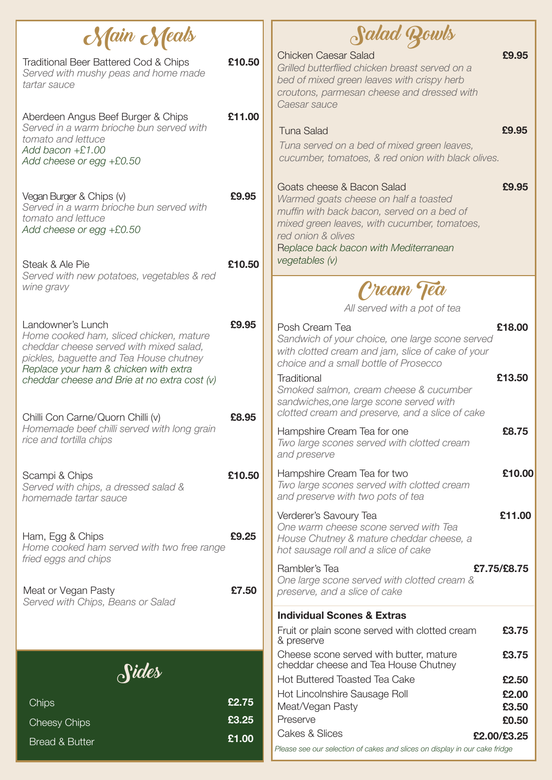*preserve, and a slice of cake* **£3.75 £3.75 £2.50 £2.00 £3.50 £2.00/£3.25** Fruit or plain scone served with clotted cream & preserve Cheese scone served with butter, mature cheddar cheese and Tea House Chutney Hot Buttered Toasted Tea Cake Hot Lincolnshire Sausage Roll Meat/Vegan Pasty **Individual Scones & Extras** Cakes & Slices Preserve **£0.50** 

| Nain Neals                                                                                                                                               |        | Salad Rowls                                                                                                                                                                                                                      |             |
|----------------------------------------------------------------------------------------------------------------------------------------------------------|--------|----------------------------------------------------------------------------------------------------------------------------------------------------------------------------------------------------------------------------------|-------------|
| <b>Traditional Beer Battered Cod &amp; Chips</b><br>Served with mushy peas and home made<br>tartar sauce                                                 | £10.50 | <b>Chicken Caesar Salad</b><br>Grilled butterflied chicken breast served on a<br>bed of mixed green leaves with crispy herb<br>croutons, parmesan cheese and dressed with<br>Caesar sauce                                        | £9.95       |
| Aberdeen Angus Beef Burger & Chips<br>Served in a warm brioche bun served with<br>tomato and lettuce<br>Add bacon $+E1.00$<br>Add cheese or egg $+£0.50$ | £11.00 | <b>Tuna Salad</b><br>Tuna served on a bed of mixed green leaves,<br>cucumber, tomatoes, & red onion with black olives.                                                                                                           | £9.95       |
| Vegan Burger & Chips (v)<br>Served in a warm brioche bun served with<br>tomato and lettuce<br>Add cheese or egg $+£0.50$                                 | £9.95  | Goats cheese & Bacon Salad<br>Warmed goats cheese on half a toasted<br>muffin with back bacon, served on a bed of<br>mixed green leaves, with cucumber, tomatoes,<br>red onion & olives<br>Replace back bacon with Mediterranean | £9.95       |
| Steak & Ale Pie<br>Served with new potatoes, vegetables & red                                                                                            | £10,50 | vegetables (v)                                                                                                                                                                                                                   |             |
| wine gravy                                                                                                                                               |        | Cream Tea<br>All served with a pot of tea                                                                                                                                                                                        |             |
| Landowner's Lunch<br>Home cooked ham, sliced chicken, mature<br>cheddar cheese served with mixed salad,<br>pickles, baguette and Tea House chutney       | £9.95  | Posh Cream Tea<br>Sandwich of your choice, one large scone served<br>with clotted cream and jam, slice of cake of your<br>choice and a small bottle of Prosecco                                                                  | £18.00      |
| Replace your ham & chicken with extra<br>cheddar cheese and Brie at no extra cost (v)                                                                    |        | Traditional<br>Smoked salmon, cream cheese & cucumber<br>sandwiches, one large scone served with                                                                                                                                 | £13.50      |
| Chilli Con Carne/Quorn Chilli (v)<br>Homemade beef chilli served with long grain<br>rice and tortilla chips                                              | £8.95  | clotted cream and preserve, and a slice of cake<br>Hampshire Cream Tea for one<br>Two large scones served with clotted cream<br>and preserve                                                                                     | £8.75       |
| Scampi & Chips<br>Served with chips, a dressed salad &<br>homemade tartar sauce                                                                          | £10,50 | Hampshire Cream Tea for two<br>Two large scones served with clotted cream<br>and preserve with two pots of tea                                                                                                                   | £10.00      |
| Ham, Egg & Chips<br>Home cooked ham served with two free range                                                                                           | £9.25  | Verderer's Savoury Tea<br>One warm cheese scone served with Tea<br>House Chutney & mature cheddar cheese, a<br>hot sausage roll and a slice of cake                                                                              | £11.00      |
| fried eggs and chips                                                                                                                                     |        | Rambler's Tea<br>One large scone served with clotted cream &                                                                                                                                                                     | £7.75/£8.75 |



**Chips** 

Cheesy Chips

**£2.75 £3.25**

*Please see our selection of cakes and slices on display in our cake fridge* 

Bread & Butter **£1.00**

## Meat or Vegan Pasty *Served with Chips, Beans or Salad*

**£7.50**